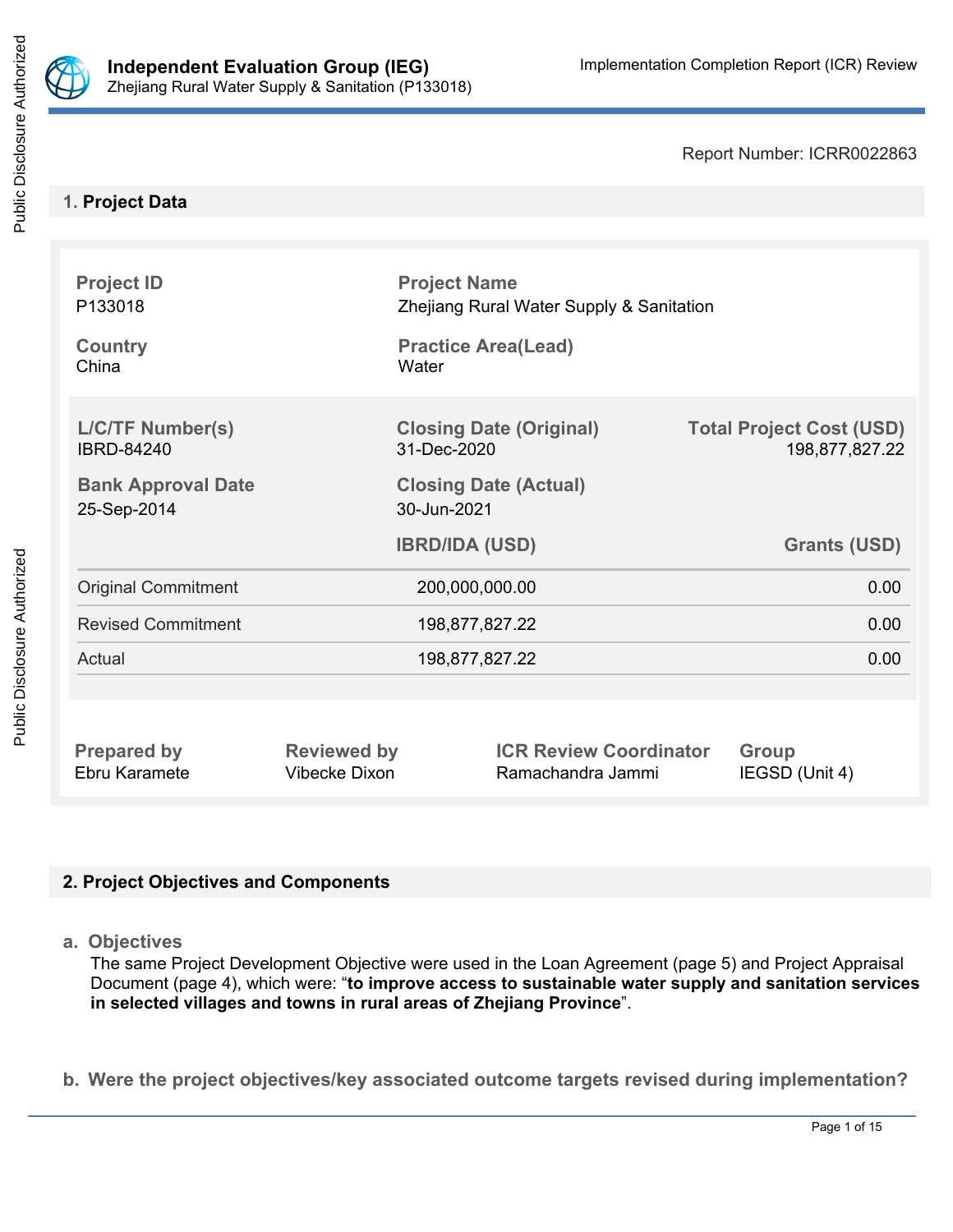

Report Number: ICRR0022863

# **1. Project Data**

| <b>Project ID</b><br>P133018<br><b>Country</b><br>China | Water          | <b>Project Name</b><br>Zhejiang Rural Water Supply & Sanitation<br><b>Practice Area(Lead)</b> |                                                   |  |  |
|---------------------------------------------------------|----------------|-----------------------------------------------------------------------------------------------|---------------------------------------------------|--|--|
| <b>L/C/TF Number(s)</b><br><b>IBRD-84240</b>            | 31-Dec-2020    | <b>Closing Date (Original)</b>                                                                | <b>Total Project Cost (USD)</b><br>198,877,827.22 |  |  |
| <b>Bank Approval Date</b><br>25-Sep-2014                |                | <b>Closing Date (Actual)</b><br>30-Jun-2021                                                   |                                                   |  |  |
|                                                         |                | <b>IBRD/IDA (USD)</b>                                                                         | <b>Grants (USD)</b>                               |  |  |
| <b>Original Commitment</b>                              | 200,000,000.00 |                                                                                               | 0.00                                              |  |  |
|                                                         | 198,877,827.22 |                                                                                               |                                                   |  |  |
| <b>Revised Commitment</b>                               |                |                                                                                               | 0.00                                              |  |  |
| Actual                                                  |                | 198,877,827.22                                                                                | 0.00                                              |  |  |
|                                                         |                |                                                                                               |                                                   |  |  |

# **2. Project Objectives and Components**

**a. Objectives**

The same Project Development Objective were used in the Loan Agreement (page 5) and Project Appraisal Document (page 4), which were: "**to improve access to sustainable water supply and sanitation services in selected villages and towns in rural areas of Zhejiang Province**".

**b. Were the project objectives/key associated outcome targets revised during implementation?**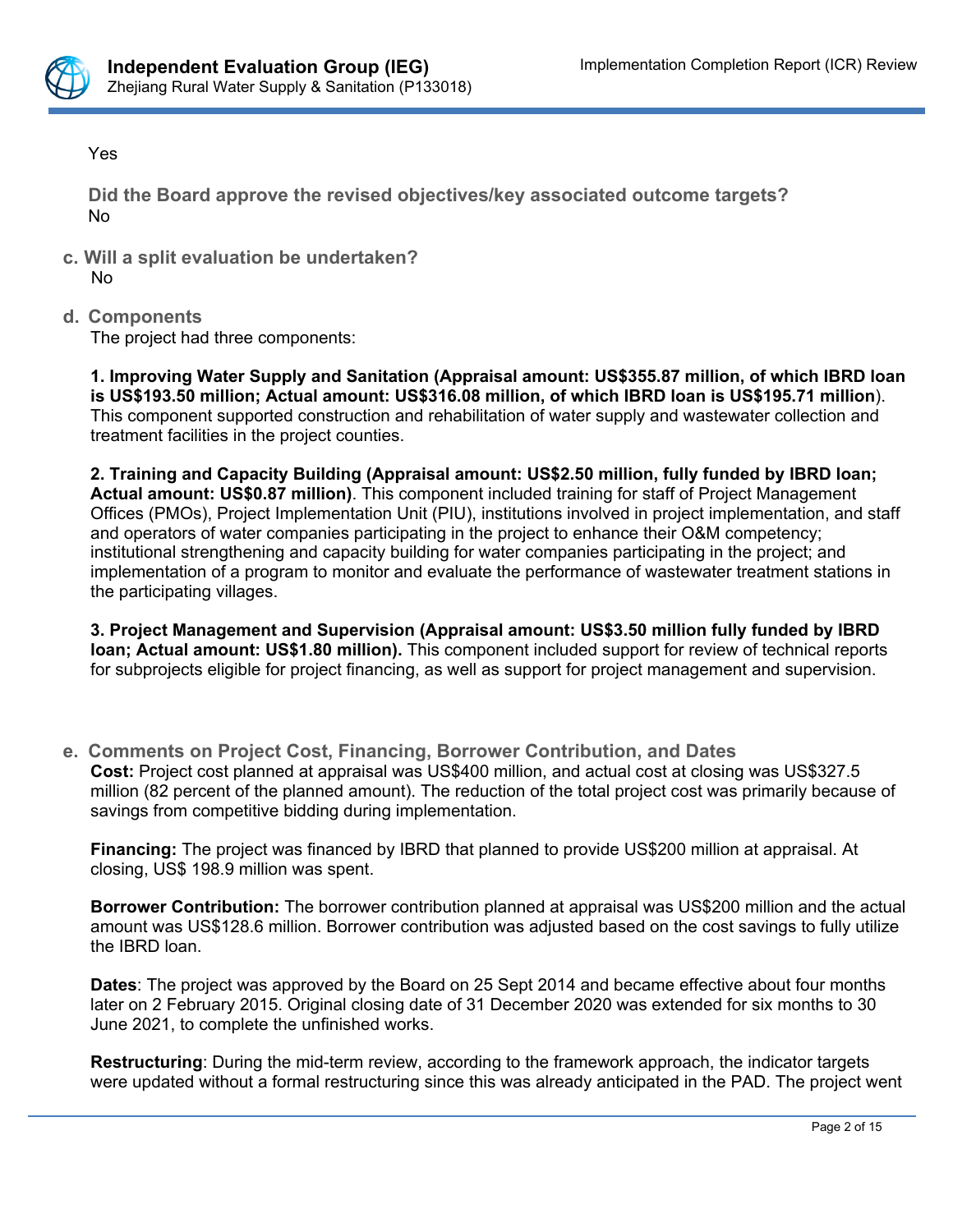

Yes

**Did the Board approve the revised objectives/key associated outcome targets?** No

- **c. Will a split evaluation be undertaken?** No
- **d. Components**

The project had three components:

**1. Improving Water Supply and Sanitation (Appraisal amount: US\$355.87 million, of which IBRD loan is US\$193.50 million; Actual amount: US\$316.08 million, of which IBRD loan is US\$195.71 million**). This component supported construction and rehabilitation of water supply and wastewater collection and treatment facilities in the project counties.

**2. Training and Capacity Building (Appraisal amount: US\$2.50 million, fully funded by IBRD loan; Actual amount: US\$0.87 million)**. This component included training for staff of Project Management Offices (PMOs), Project Implementation Unit (PIU), institutions involved in project implementation, and staff and operators of water companies participating in the project to enhance their O&M competency; institutional strengthening and capacity building for water companies participating in the project; and implementation of a program to monitor and evaluate the performance of wastewater treatment stations in the participating villages.

**3. Project Management and Supervision (Appraisal amount: US\$3.50 million fully funded by IBRD loan; Actual amount: US\$1.80 million).** This component included support for review of technical reports for subprojects eligible for project financing, as well as support for project management and supervision.

**e. Comments on Project Cost, Financing, Borrower Contribution, and Dates Cost:** Project cost planned at appraisal was US\$400 million, and actual cost at closing was US\$327.5 million (82 percent of the planned amount). The reduction of the total project cost was primarily because of savings from competitive bidding during implementation.

**Financing:** The project was financed by IBRD that planned to provide US\$200 million at appraisal. At closing, US\$ 198.9 million was spent.

**Borrower Contribution:** The borrower contribution planned at appraisal was US\$200 million and the actual amount was US\$128.6 million. Borrower contribution was adjusted based on the cost savings to fully utilize the IBRD loan.

**Dates**: The project was approved by the Board on 25 Sept 2014 and became effective about four months later on 2 February 2015. Original closing date of 31 December 2020 was extended for six months to 30 June 2021, to complete the unfinished works.

**Restructuring**: During the mid-term review, according to the framework approach, the indicator targets were updated without a formal restructuring since this was already anticipated in the PAD. The project went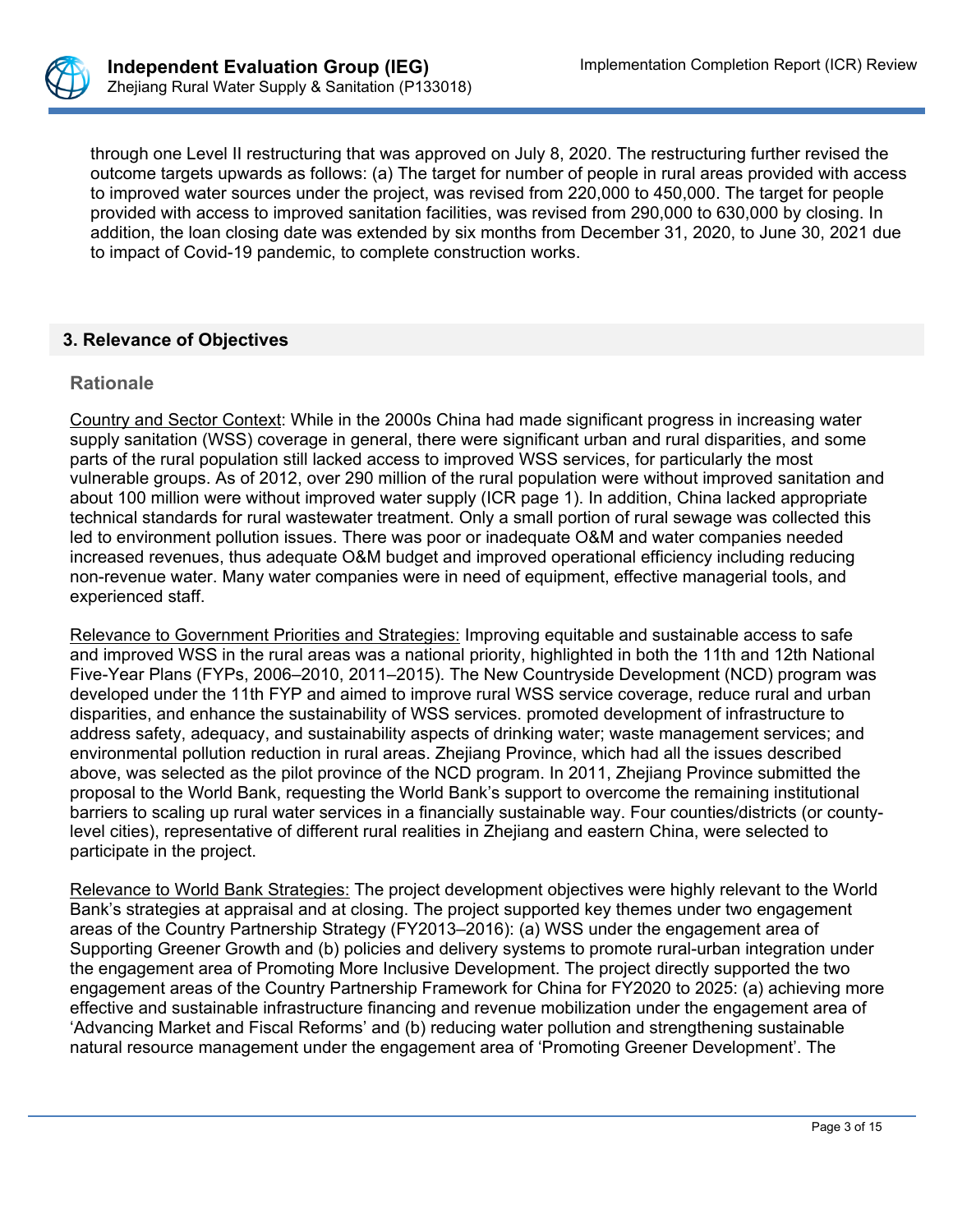

through one Level II restructuring that was approved on July 8, 2020. The restructuring further revised the outcome targets upwards as follows: (a) The target for number of people in rural areas provided with access to improved water sources under the project, was revised from 220,000 to 450,000. The target for people provided with access to improved sanitation facilities, was revised from 290,000 to 630,000 by closing. In addition, the loan closing date was extended by six months from December 31, 2020, to June 30, 2021 due to impact of Covid-19 pandemic, to complete construction works.

## **3. Relevance of Objectives**

#### **Rationale**

Country and Sector Context: While in the 2000s China had made significant progress in increasing water supply sanitation (WSS) coverage in general, there were significant urban and rural disparities, and some parts of the rural population still lacked access to improved WSS services, for particularly the most vulnerable groups. As of 2012, over 290 million of the rural population were without improved sanitation and about 100 million were without improved water supply (ICR page 1). In addition, China lacked appropriate technical standards for rural wastewater treatment. Only a small portion of rural sewage was collected this led to environment pollution issues. There was poor or inadequate O&M and water companies needed increased revenues, thus adequate O&M budget and improved operational efficiency including reducing non-revenue water. Many water companies were in need of equipment, effective managerial tools, and experienced staff.

Relevance to Government Priorities and Strategies: Improving equitable and sustainable access to safe and improved WSS in the rural areas was a national priority, highlighted in both the 11th and 12th National Five-Year Plans (FYPs, 2006–2010, 2011–2015). The New Countryside Development (NCD) program was developed under the 11th FYP and aimed to improve rural WSS service coverage, reduce rural and urban disparities, and enhance the sustainability of WSS services. promoted development of infrastructure to address safety, adequacy, and sustainability aspects of drinking water; waste management services; and environmental pollution reduction in rural areas. Zhejiang Province, which had all the issues described above, was selected as the pilot province of the NCD program. In 2011, Zhejiang Province submitted the proposal to the World Bank, requesting the World Bank's support to overcome the remaining institutional barriers to scaling up rural water services in a financially sustainable way. Four counties/districts (or countylevel cities), representative of different rural realities in Zhejiang and eastern China, were selected to participate in the project.

Relevance to World Bank Strategies: The project development objectives were highly relevant to the World Bank's strategies at appraisal and at closing. The project supported key themes under two engagement areas of the Country Partnership Strategy (FY2013–2016): (a) WSS under the engagement area of Supporting Greener Growth and (b) policies and delivery systems to promote rural-urban integration under the engagement area of Promoting More Inclusive Development. The project directly supported the two engagement areas of the Country Partnership Framework for China for FY2020 to 2025: (a) achieving more effective and sustainable infrastructure financing and revenue mobilization under the engagement area of 'Advancing Market and Fiscal Reforms' and (b) reducing water pollution and strengthening sustainable natural resource management under the engagement area of 'Promoting Greener Development'. The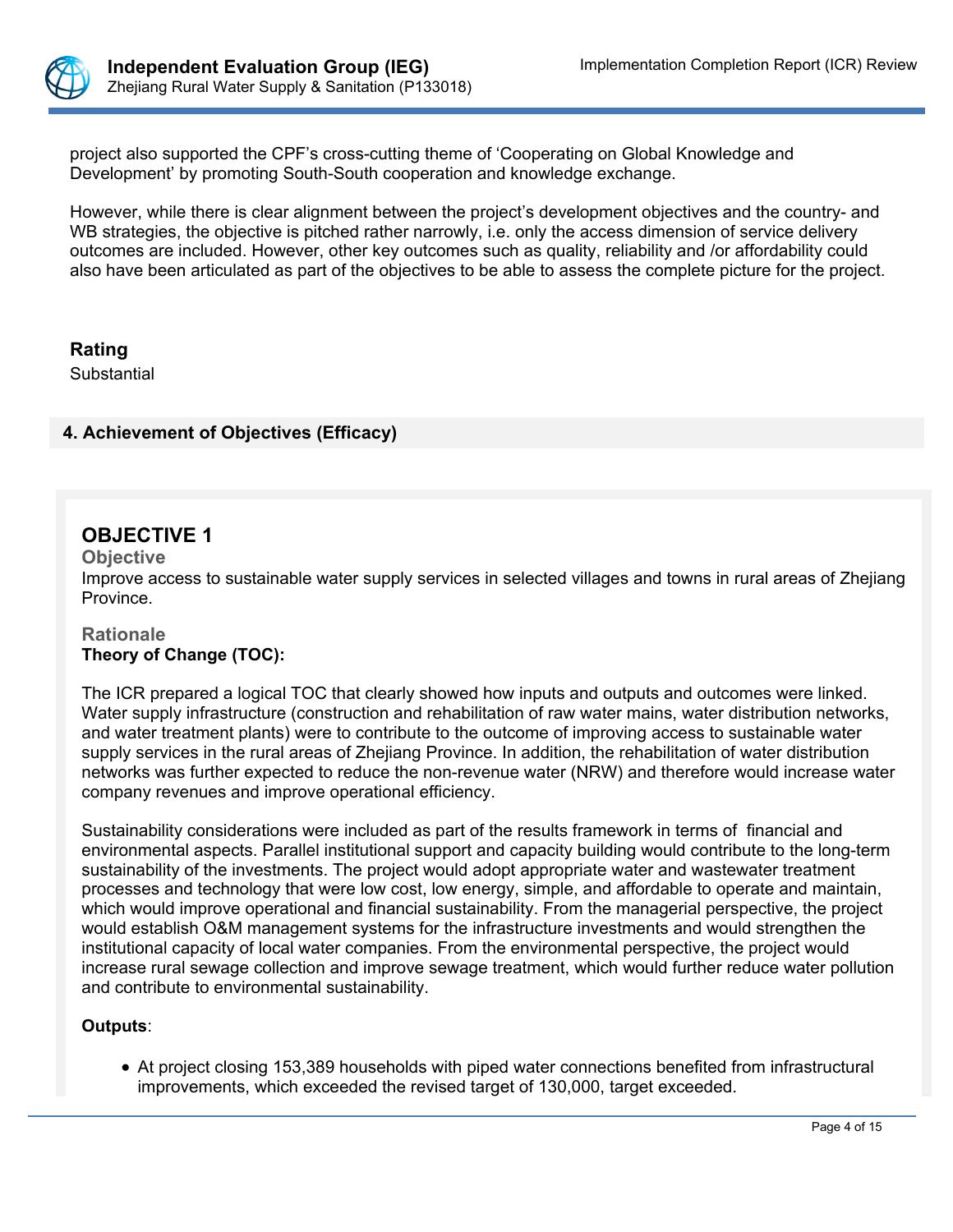

project also supported the CPF's cross-cutting theme of 'Cooperating on Global Knowledge and Development' by promoting South-South cooperation and knowledge exchange.

However, while there is clear alignment between the project's development objectives and the country- and WB strategies, the objective is pitched rather narrowly, i.e. only the access dimension of service delivery outcomes are included. However, other key outcomes such as quality, reliability and /or affordability could also have been articulated as part of the objectives to be able to assess the complete picture for the project.

**Rating**

**Substantial** 

# **4. Achievement of Objectives (Efficacy)**

# **OBJECTIVE 1**

**Objective**

Improve access to sustainable water supply services in selected villages and towns in rural areas of Zhejiang Province.

## **Rationale Theory of Change (TOC):**

The ICR prepared a logical TOC that clearly showed how inputs and outputs and outcomes were linked. Water supply infrastructure (construction and rehabilitation of raw water mains, water distribution networks, and water treatment plants) were to contribute to the outcome of improving access to sustainable water supply services in the rural areas of Zhejiang Province. In addition, the rehabilitation of water distribution networks was further expected to reduce the non-revenue water (NRW) and therefore would increase water company revenues and improve operational efficiency.

Sustainability considerations were included as part of the results framework in terms of financial and environmental aspects. Parallel institutional support and capacity building would contribute to the long-term sustainability of the investments. The project would adopt appropriate water and wastewater treatment processes and technology that were low cost, low energy, simple, and affordable to operate and maintain, which would improve operational and financial sustainability. From the managerial perspective, the project would establish O&M management systems for the infrastructure investments and would strengthen the institutional capacity of local water companies. From the environmental perspective, the project would increase rural sewage collection and improve sewage treatment, which would further reduce water pollution and contribute to environmental sustainability.

## **Outputs**:

 At project closing 153,389 households with piped water connections benefited from infrastructural improvements, which exceeded the revised target of 130,000, target exceeded.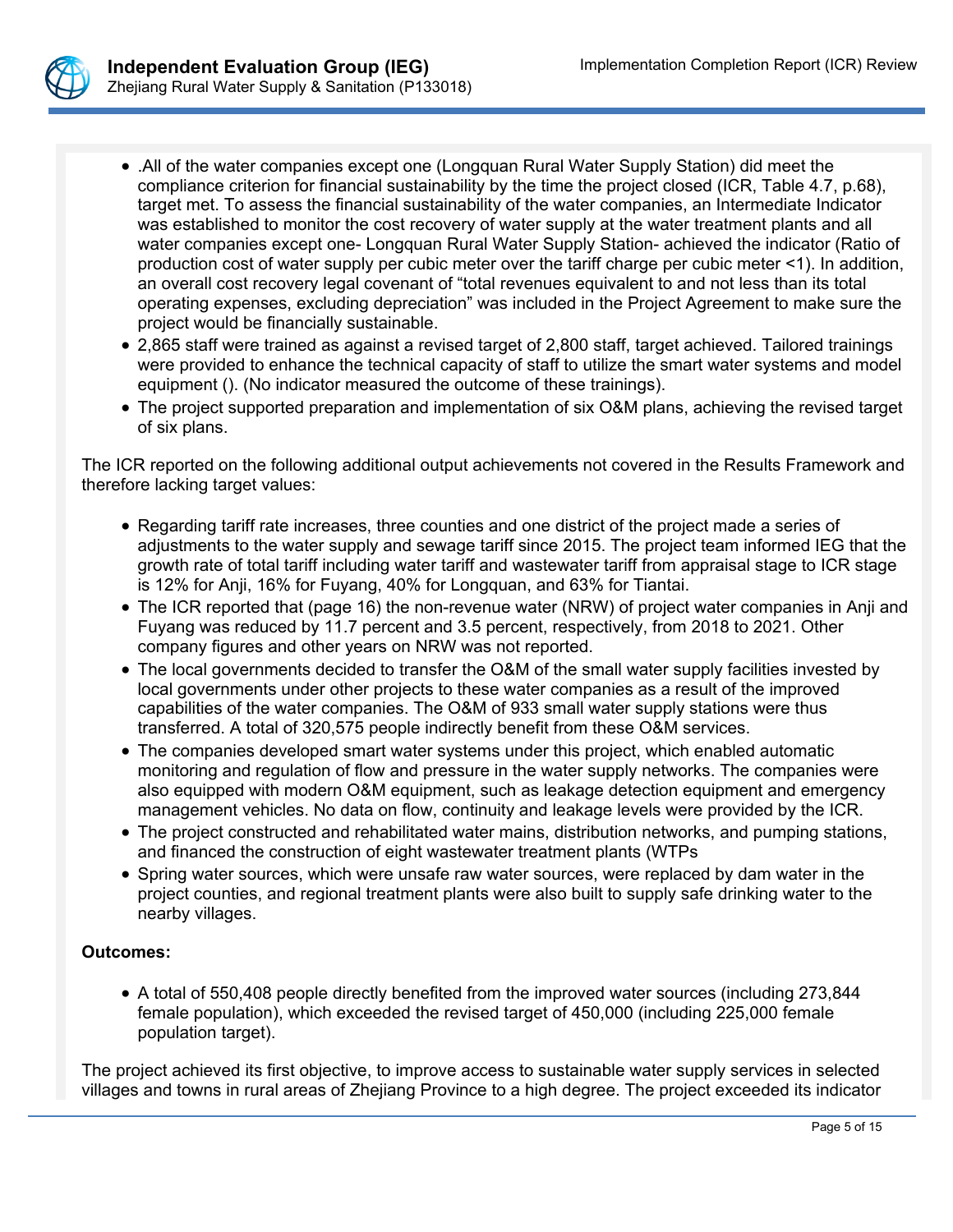

- .All of the water companies except one (Longquan Rural Water Supply Station) did meet the compliance criterion for financial sustainability by the time the project closed (ICR, Table 4.7, p.68), target met. To assess the financial sustainability of the water companies, an Intermediate Indicator was established to monitor the cost recovery of water supply at the water treatment plants and all water companies except one- Longquan Rural Water Supply Station- achieved the indicator (Ratio of production cost of water supply per cubic meter over the tariff charge per cubic meter <1). In addition, an overall cost recovery legal covenant of "total revenues equivalent to and not less than its total operating expenses, excluding depreciation" was included in the Project Agreement to make sure the project would be financially sustainable.
- 2,865 staff were trained as against a revised target of 2,800 staff, target achieved. Tailored trainings were provided to enhance the technical capacity of staff to utilize the smart water systems and model equipment (). (No indicator measured the outcome of these trainings).
- The project supported preparation and implementation of six O&M plans, achieving the revised target of six plans.

The ICR reported on the following additional output achievements not covered in the Results Framework and therefore lacking target values:

- Regarding tariff rate increases, three counties and one district of the project made a series of adjustments to the water supply and sewage tariff since 2015. The project team informed IEG that the growth rate of total tariff including water tariff and wastewater tariff from appraisal stage to ICR stage is 12% for Anji, 16% for Fuyang, 40% for Longquan, and 63% for Tiantai.
- The ICR reported that (page 16) the non-revenue water (NRW) of project water companies in Anji and Fuyang was reduced by 11.7 percent and 3.5 percent, respectively, from 2018 to 2021. Other company figures and other years on NRW was not reported.
- The local governments decided to transfer the O&M of the small water supply facilities invested by local governments under other projects to these water companies as a result of the improved capabilities of the water companies. The O&M of 933 small water supply stations were thus transferred. A total of 320,575 people indirectly benefit from these O&M services.
- The companies developed smart water systems under this project, which enabled automatic monitoring and regulation of flow and pressure in the water supply networks. The companies were also equipped with modern O&M equipment, such as leakage detection equipment and emergency management vehicles. No data on flow, continuity and leakage levels were provided by the ICR.
- The project constructed and rehabilitated water mains, distribution networks, and pumping stations, and financed the construction of eight wastewater treatment plants (WTPs
- Spring water sources, which were unsafe raw water sources, were replaced by dam water in the project counties, and regional treatment plants were also built to supply safe drinking water to the nearby villages.

## **Outcomes:**

 A total of 550,408 people directly benefited from the improved water sources (including 273,844 female population), which exceeded the revised target of 450,000 (including 225,000 female population target).

The project achieved its first objective, to improve access to sustainable water supply services in selected villages and towns in rural areas of Zhejiang Province to a high degree. The project exceeded its indicator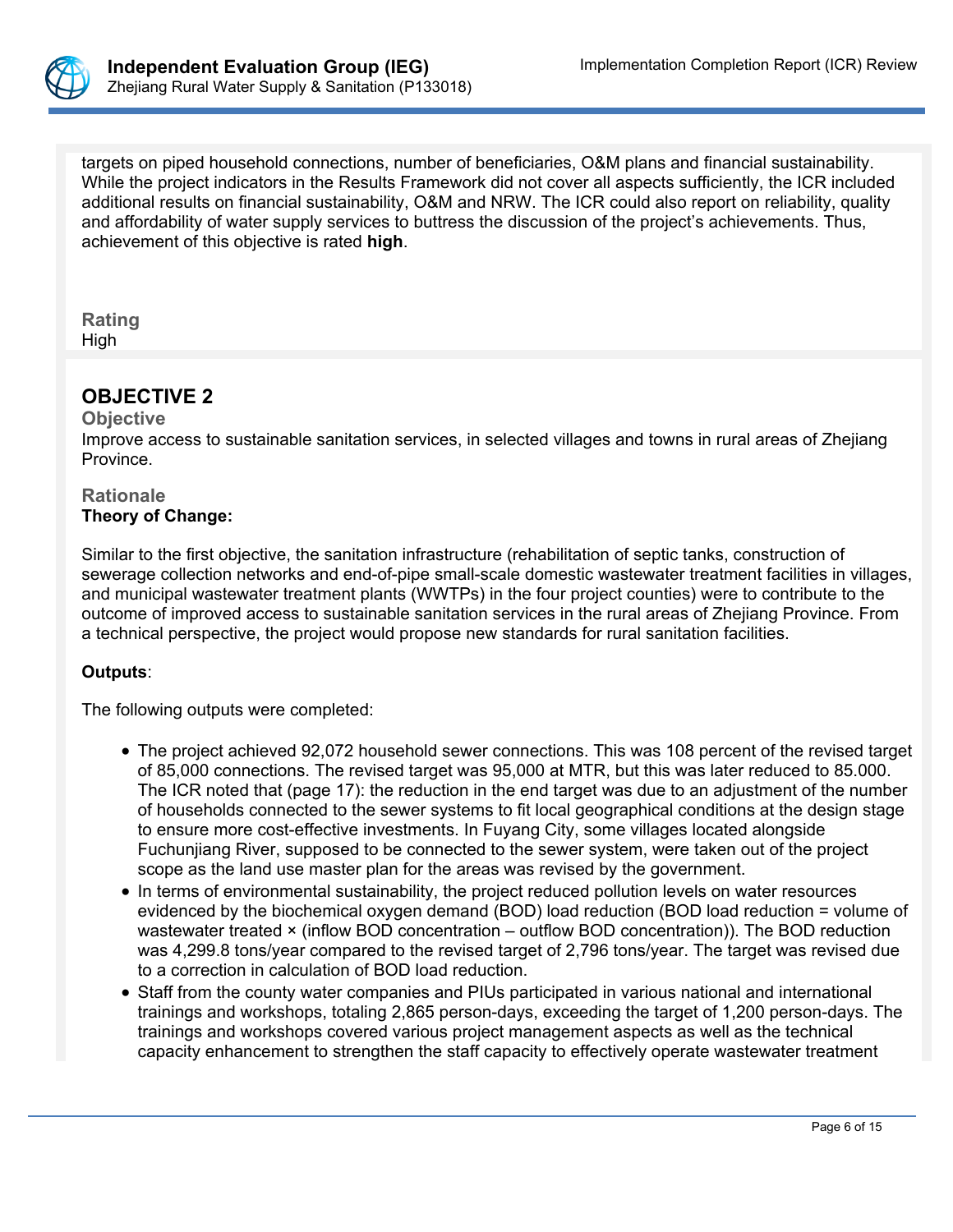

targets on piped household connections, number of beneficiaries, O&M plans and financial sustainability. While the project indicators in the Results Framework did not cover all aspects sufficiently, the ICR included additional results on financial sustainability, O&M and NRW. The ICR could also report on reliability, quality and affordability of water supply services to buttress the discussion of the project's achievements. Thus, achievement of this objective is rated **high**.

#### **Rating** High

# **OBJECTIVE 2**

#### **Objective**

Improve access to sustainable sanitation services, in selected villages and towns in rural areas of Zhejiang Province.

#### **Rationale Theory of Change:**

Similar to the first objective, the sanitation infrastructure (rehabilitation of septic tanks, construction of sewerage collection networks and end-of-pipe small-scale domestic wastewater treatment facilities in villages, and municipal wastewater treatment plants (WWTPs) in the four project counties) were to contribute to the outcome of improved access to sustainable sanitation services in the rural areas of Zhejiang Province. From a technical perspective, the project would propose new standards for rural sanitation facilities.

# **Outputs**:

The following outputs were completed:

- The project achieved 92,072 household sewer connections. This was 108 percent of the revised target of 85,000 connections. The revised target was 95,000 at MTR, but this was later reduced to 85.000. The ICR noted that (page 17): the reduction in the end target was due to an adjustment of the number of households connected to the sewer systems to fit local geographical conditions at the design stage to ensure more cost-effective investments. In Fuyang City, some villages located alongside Fuchunjiang River, supposed to be connected to the sewer system, were taken out of the project scope as the land use master plan for the areas was revised by the government.
- In terms of environmental sustainability, the project reduced pollution levels on water resources evidenced by the biochemical oxygen demand (BOD) load reduction (BOD load reduction = volume of wastewater treated × (inflow BOD concentration – outflow BOD concentration)). The BOD reduction was 4,299.8 tons/year compared to the revised target of 2,796 tons/year. The target was revised due to a correction in calculation of BOD load reduction.
- Staff from the county water companies and PIUs participated in various national and international trainings and workshops, totaling 2,865 person-days, exceeding the target of 1,200 person-days. The trainings and workshops covered various project management aspects as well as the technical capacity enhancement to strengthen the staff capacity to effectively operate wastewater treatment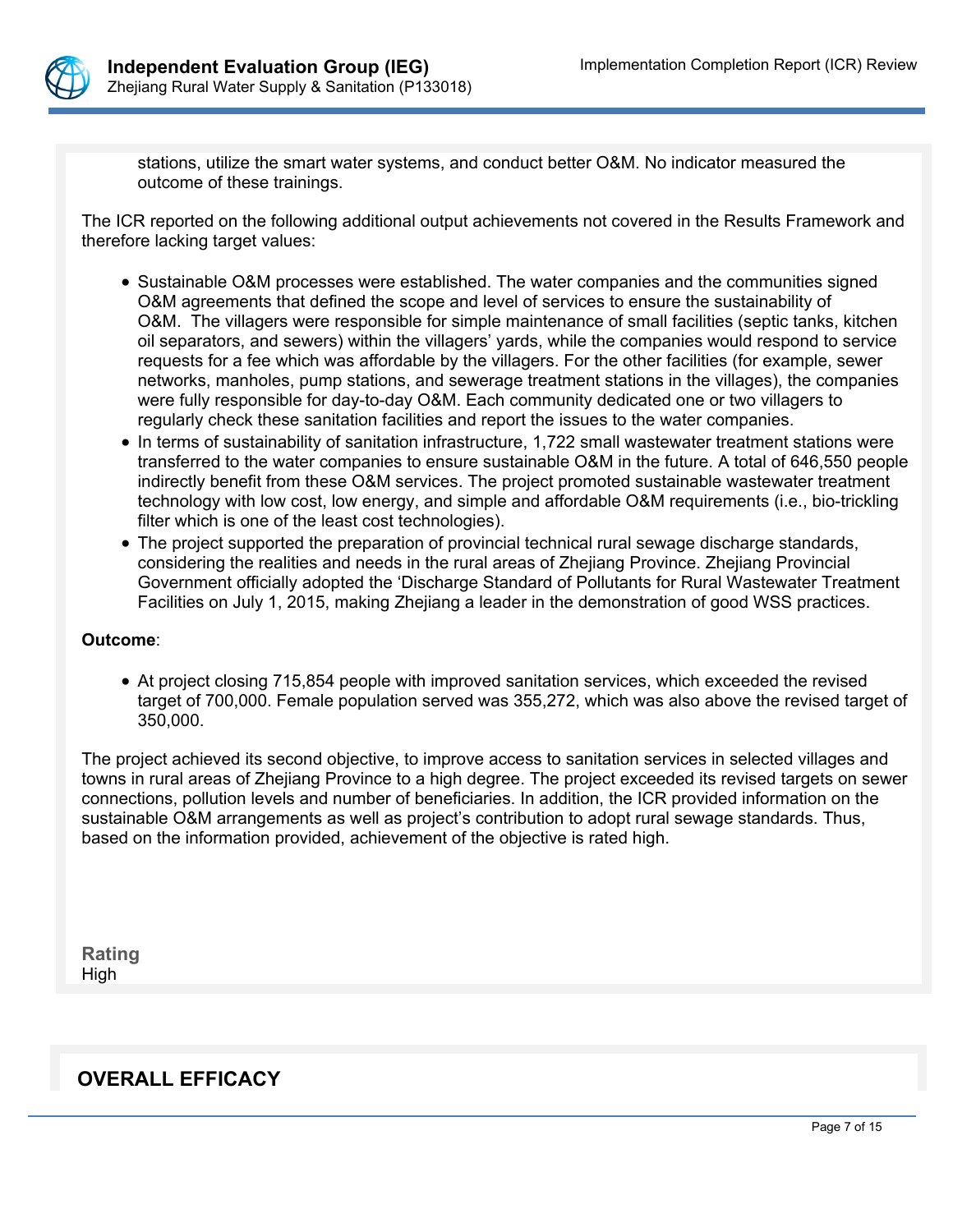

stations, utilize the smart water systems, and conduct better O&M. No indicator measured the outcome of these trainings.

The ICR reported on the following additional output achievements not covered in the Results Framework and therefore lacking target values:

- Sustainable O&M processes were established. The water companies and the communities signed O&M agreements that defined the scope and level of services to ensure the sustainability of O&M. The villagers were responsible for simple maintenance of small facilities (septic tanks, kitchen oil separators, and sewers) within the villagers' yards, while the companies would respond to service requests for a fee which was affordable by the villagers. For the other facilities (for example, sewer networks, manholes, pump stations, and sewerage treatment stations in the villages), the companies were fully responsible for day-to-day O&M. Each community dedicated one or two villagers to regularly check these sanitation facilities and report the issues to the water companies.
- In terms of sustainability of sanitation infrastructure, 1,722 small wastewater treatment stations were transferred to the water companies to ensure sustainable O&M in the future. A total of 646,550 people indirectly benefit from these O&M services. The project promoted sustainable wastewater treatment technology with low cost, low energy, and simple and affordable O&M requirements (i.e., bio-trickling filter which is one of the least cost technologies).
- The project supported the preparation of provincial technical rural sewage discharge standards, considering the realities and needs in the rural areas of Zhejiang Province. Zhejiang Provincial Government officially adopted the 'Discharge Standard of Pollutants for Rural Wastewater Treatment Facilities on July 1, 2015, making Zhejiang a leader in the demonstration of good WSS practices.

#### **Outcome**:

 At project closing 715,854 people with improved sanitation services, which exceeded the revised target of 700,000. Female population served was 355,272, which was also above the revised target of 350,000.

The project achieved its second objective, to improve access to sanitation services in selected villages and towns in rural areas of Zhejiang Province to a high degree. The project exceeded its revised targets on sewer connections, pollution levels and number of beneficiaries. In addition, the ICR provided information on the sustainable O&M arrangements as well as project's contribution to adopt rural sewage standards. Thus, based on the information provided, achievement of the objective is rated high.

**Rating** High

# **OVERALL EFFICACY**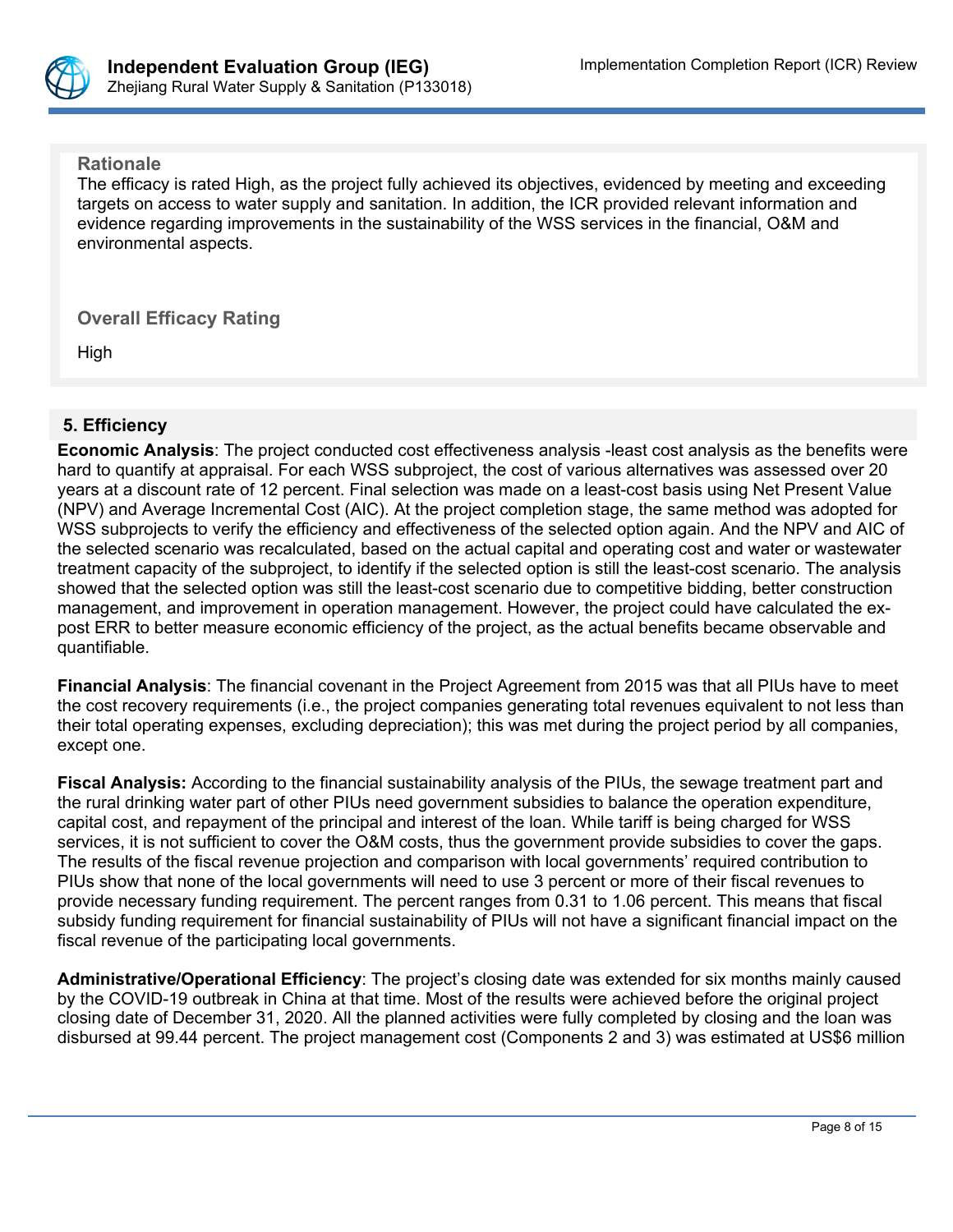

**Rationale**

The efficacy is rated High, as the project fully achieved its objectives, evidenced by meeting and exceeding targets on access to water supply and sanitation. In addition, the ICR provided relevant information and evidence regarding improvements in the sustainability of the WSS services in the financial, O&M and environmental aspects.

**Overall Efficacy Rating**

High

# **5. Efficiency**

**Economic Analysis**: The project conducted cost effectiveness analysis -least cost analysis as the benefits were hard to quantify at appraisal. For each WSS subproject, the cost of various alternatives was assessed over 20 years at a discount rate of 12 percent. Final selection was made on a least-cost basis using Net Present Value (NPV) and Average Incremental Cost (AIC). At the project completion stage, the same method was adopted for WSS subprojects to verify the efficiency and effectiveness of the selected option again. And the NPV and AIC of the selected scenario was recalculated, based on the actual capital and operating cost and water or wastewater treatment capacity of the subproject, to identify if the selected option is still the least-cost scenario. The analysis showed that the selected option was still the least-cost scenario due to competitive bidding, better construction management, and improvement in operation management. However, the project could have calculated the expost ERR to better measure economic efficiency of the project, as the actual benefits became observable and quantifiable.

**Financial Analysis**: The financial covenant in the Project Agreement from 2015 was that all PIUs have to meet the cost recovery requirements (i.e., the project companies generating total revenues equivalent to not less than their total operating expenses, excluding depreciation); this was met during the project period by all companies, except one.

**Fiscal Analysis:** According to the financial sustainability analysis of the PIUs, the sewage treatment part and the rural drinking water part of other PIUs need government subsidies to balance the operation expenditure, capital cost, and repayment of the principal and interest of the loan. While tariff is being charged for WSS services, it is not sufficient to cover the O&M costs, thus the government provide subsidies to cover the gaps. The results of the fiscal revenue projection and comparison with local governments' required contribution to PIUs show that none of the local governments will need to use 3 percent or more of their fiscal revenues to provide necessary funding requirement. The percent ranges from 0.31 to 1.06 percent. This means that fiscal subsidy funding requirement for financial sustainability of PIUs will not have a significant financial impact on the fiscal revenue of the participating local governments.

**Administrative/Operational Efficiency**: The project's closing date was extended for six months mainly caused by the COVID-19 outbreak in China at that time. Most of the results were achieved before the original project closing date of December 31, 2020. All the planned activities were fully completed by closing and the loan was disbursed at 99.44 percent. The project management cost (Components 2 and 3) was estimated at US\$6 million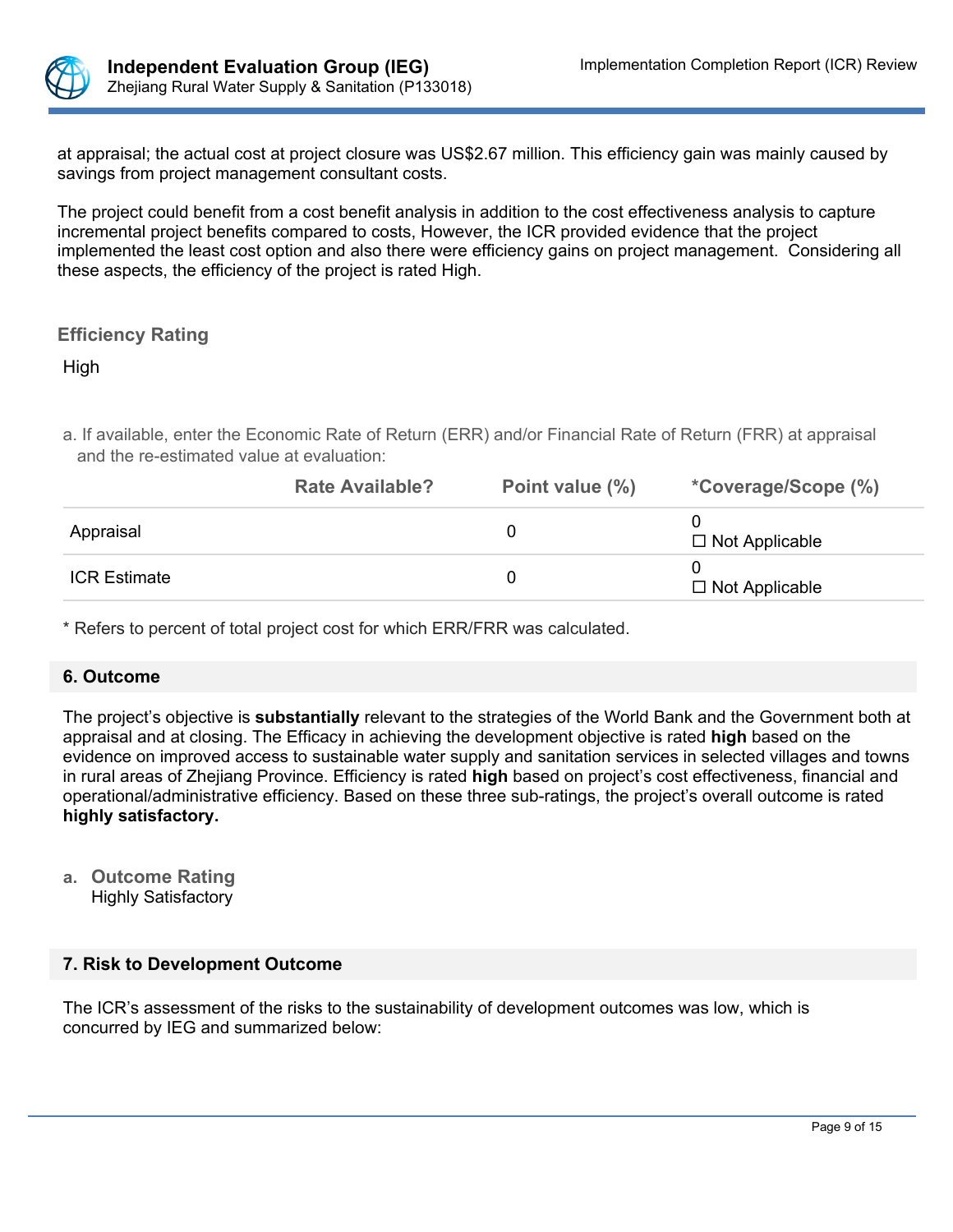

at appraisal; the actual cost at project closure was US\$2.67 million. This efficiency gain was mainly caused by savings from project management consultant costs.

The project could benefit from a cost benefit analysis in addition to the cost effectiveness analysis to capture incremental project benefits compared to costs, However, the ICR provided evidence that the project implemented the least cost option and also there were efficiency gains on project management. Considering all these aspects, the efficiency of the project is rated High.

# **Efficiency Rating**

High

a. If available, enter the Economic Rate of Return (ERR) and/or Financial Rate of Return (FRR) at appraisal and the re-estimated value at evaluation:

|                     | <b>Rate Available?</b> | Point value (%) | <i>*Coverage/Scope (%)</i> |
|---------------------|------------------------|-----------------|----------------------------|
| Appraisal           |                        |                 | $\Box$ Not Applicable      |
| <b>ICR Estimate</b> |                        |                 | $\Box$ Not Applicable      |

\* Refers to percent of total project cost for which ERR/FRR was calculated.

#### **6. Outcome**

The project's objective is **substantially** relevant to the strategies of the World Bank and the Government both at appraisal and at closing. The Efficacy in achieving the development objective is rated **high** based on the evidence on improved access to sustainable water supply and sanitation services in selected villages and towns in rural areas of Zhejiang Province. Efficiency is rated **high** based on project's cost effectiveness, financial and operational/administrative efficiency. Based on these three sub-ratings, the project's overall outcome is rated **highly satisfactory.** 

- **a. Outcome Rating**
	- Highly Satisfactory

## **7. Risk to Development Outcome**

The ICR's assessment of the risks to the sustainability of development outcomes was low, which is concurred by IEG and summarized below: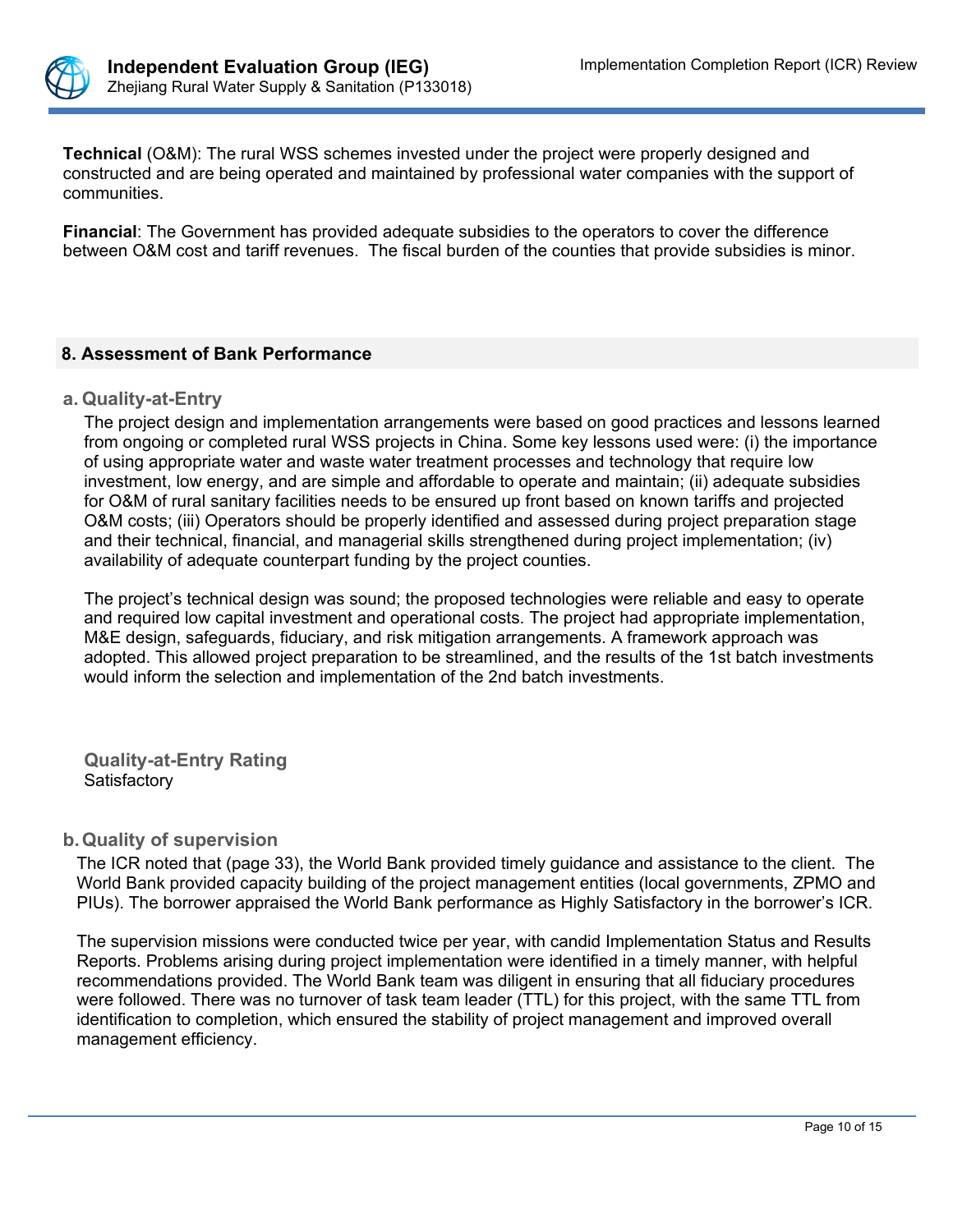

**Technical** (O&M): The rural WSS schemes invested under the project were properly designed and constructed and are being operated and maintained by professional water companies with the support of communities.

**Financial**: The Government has provided adequate subsidies to the operators to cover the difference between O&M cost and tariff revenues. The fiscal burden of the counties that provide subsidies is minor.

## **8. Assessment of Bank Performance**

#### **a. Quality-at-Entry**

The project design and implementation arrangements were based on good practices and lessons learned from ongoing or completed rural WSS projects in China. Some key lessons used were: (i) the importance of using appropriate water and waste water treatment processes and technology that require low investment, low energy, and are simple and affordable to operate and maintain; (ii) adequate subsidies for O&M of rural sanitary facilities needs to be ensured up front based on known tariffs and projected O&M costs; (iii) Operators should be properly identified and assessed during project preparation stage and their technical, financial, and managerial skills strengthened during project implementation; (iv) availability of adequate counterpart funding by the project counties.

The project's technical design was sound; the proposed technologies were reliable and easy to operate and required low capital investment and operational costs. The project had appropriate implementation, M&E design, safeguards, fiduciary, and risk mitigation arrangements. A framework approach was adopted. This allowed project preparation to be streamlined, and the results of the 1st batch investments would inform the selection and implementation of the 2nd batch investments.

**Quality-at-Entry Rating Satisfactory** 

## **b.Quality of supervision**

The ICR noted that (page 33), the World Bank provided timely guidance and assistance to the client. The World Bank provided capacity building of the project management entities (local governments, ZPMO and PIUs). The borrower appraised the World Bank performance as Highly Satisfactory in the borrower's ICR.

The supervision missions were conducted twice per year, with candid Implementation Status and Results Reports. Problems arising during project implementation were identified in a timely manner, with helpful recommendations provided. The World Bank team was diligent in ensuring that all fiduciary procedures were followed. There was no turnover of task team leader (TTL) for this project, with the same TTL from identification to completion, which ensured the stability of project management and improved overall management efficiency.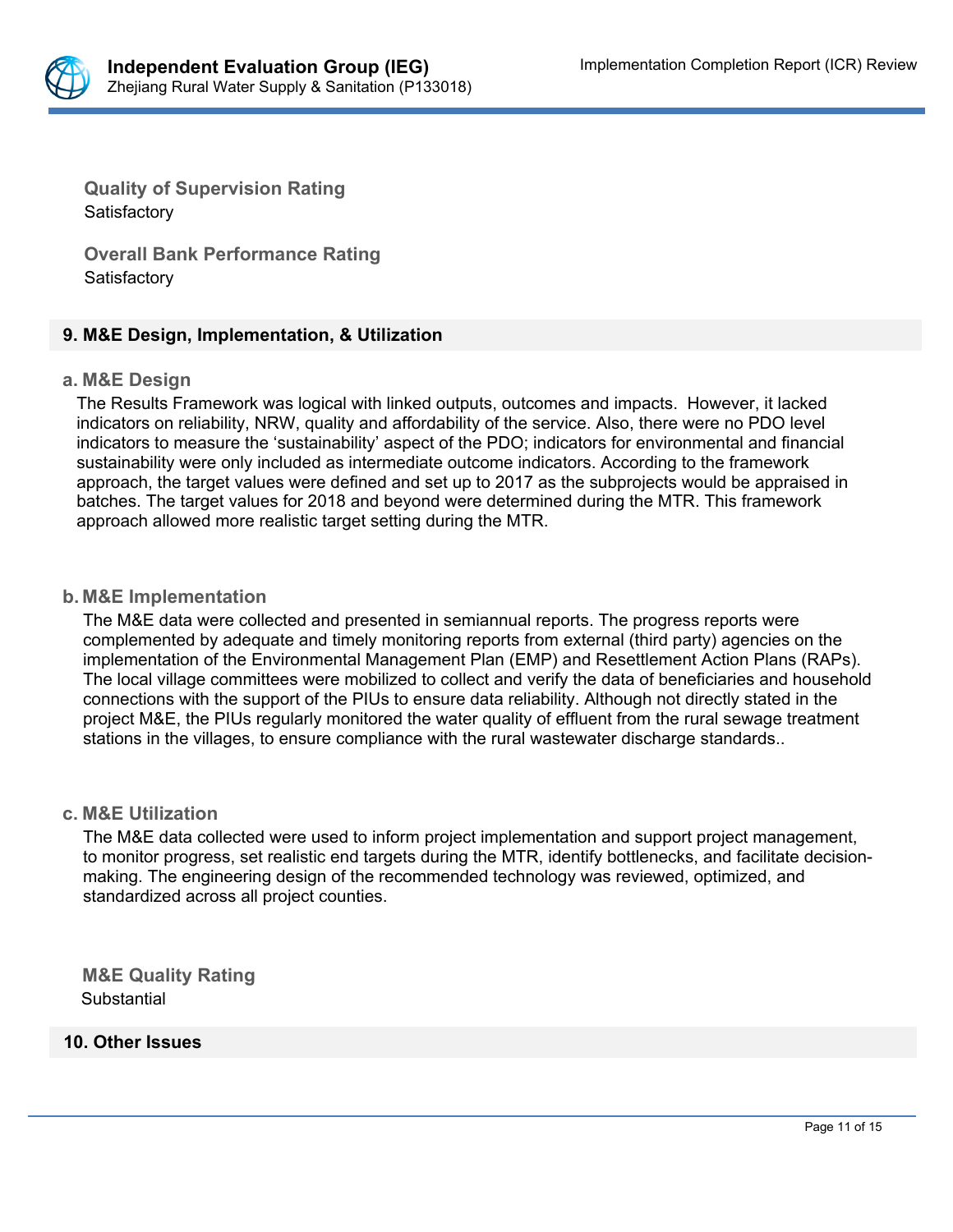

**Quality of Supervision Rating**  Satisfactory

**Overall Bank Performance Rating Satisfactory** 

## **9. M&E Design, Implementation, & Utilization**

#### **a. M&E Design**

The Results Framework was logical with linked outputs, outcomes and impacts. However, it lacked indicators on reliability, NRW, quality and affordability of the service. Also, there were no PDO level indicators to measure the 'sustainability' aspect of the PDO; indicators for environmental and financial sustainability were only included as intermediate outcome indicators. According to the framework approach, the target values were defined and set up to 2017 as the subprojects would be appraised in batches. The target values for 2018 and beyond were determined during the MTR. This framework approach allowed more realistic target setting during the MTR.

#### **b. M&E Implementation**

The M&E data were collected and presented in semiannual reports. The progress reports were complemented by adequate and timely monitoring reports from external (third party) agencies on the implementation of the Environmental Management Plan (EMP) and Resettlement Action Plans (RAPs). The local village committees were mobilized to collect and verify the data of beneficiaries and household connections with the support of the PIUs to ensure data reliability. Although not directly stated in the project M&E, the PIUs regularly monitored the water quality of effluent from the rural sewage treatment stations in the villages, to ensure compliance with the rural wastewater discharge standards..

#### **c. M&E Utilization**

The M&E data collected were used to inform project implementation and support project management, to monitor progress, set realistic end targets during the MTR, identify bottlenecks, and facilitate decisionmaking. The engineering design of the recommended technology was reviewed, optimized, and standardized across all project counties.

**M&E Quality Rating Substantial** 

#### **10. Other Issues**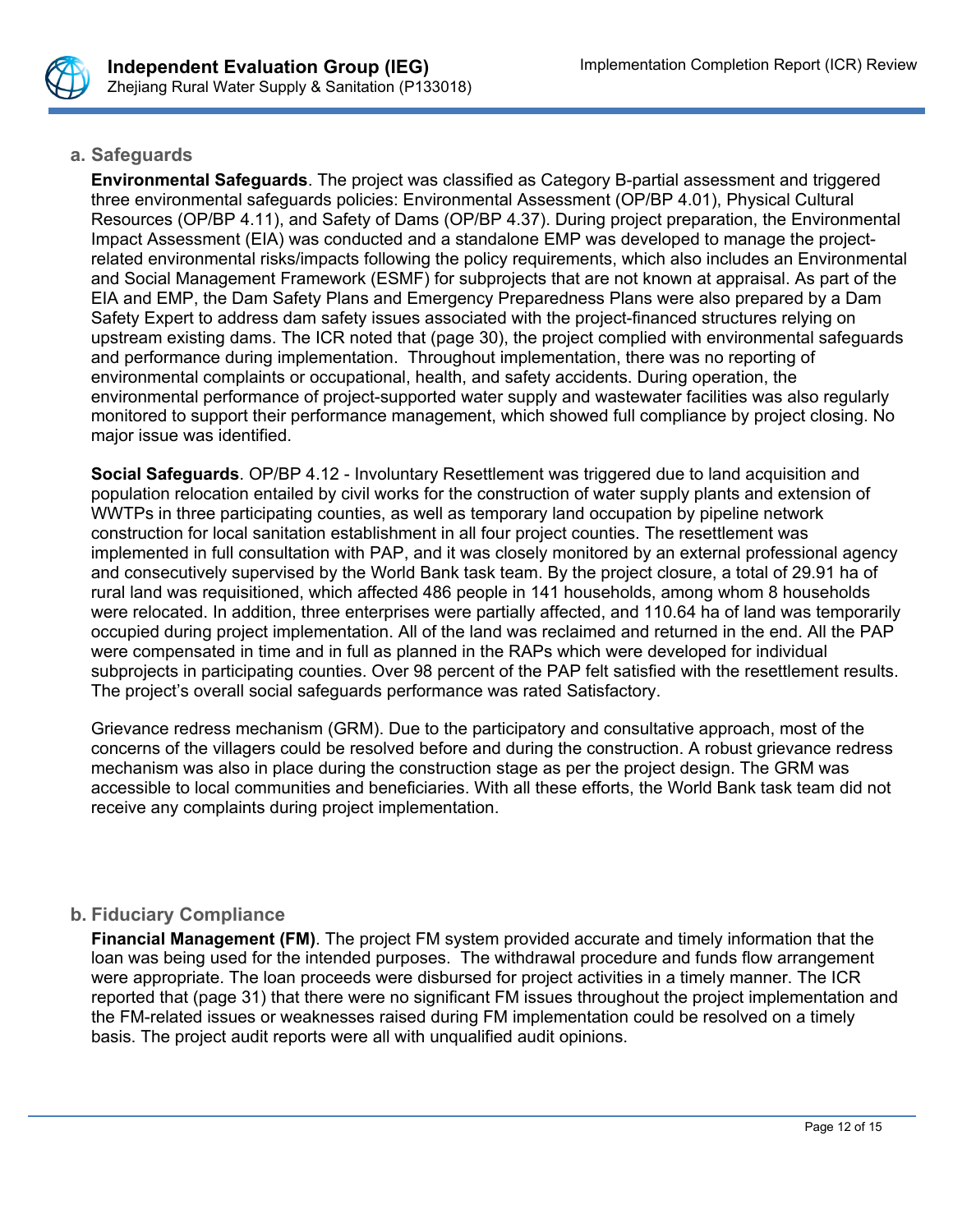

## **a. Safeguards**

**Environmental Safeguards**. The project was classified as Category B-partial assessment and triggered three environmental safeguards policies: Environmental Assessment (OP/BP 4.01), Physical Cultural Resources (OP/BP 4.11), and Safety of Dams (OP/BP 4.37). During project preparation, the Environmental Impact Assessment (EIA) was conducted and a standalone EMP was developed to manage the projectrelated environmental risks/impacts following the policy requirements, which also includes an Environmental and Social Management Framework (ESMF) for subprojects that are not known at appraisal. As part of the EIA and EMP, the Dam Safety Plans and Emergency Preparedness Plans were also prepared by a Dam Safety Expert to address dam safety issues associated with the project-financed structures relying on upstream existing dams. The ICR noted that (page 30), the project complied with environmental safeguards and performance during implementation. Throughout implementation, there was no reporting of environmental complaints or occupational, health, and safety accidents. During operation, the environmental performance of project-supported water supply and wastewater facilities was also regularly monitored to support their performance management, which showed full compliance by project closing. No major issue was identified.

**Social Safeguards**. OP/BP 4.12 - Involuntary Resettlement was triggered due to land acquisition and population relocation entailed by civil works for the construction of water supply plants and extension of WWTPs in three participating counties, as well as temporary land occupation by pipeline network construction for local sanitation establishment in all four project counties. The resettlement was implemented in full consultation with PAP, and it was closely monitored by an external professional agency and consecutively supervised by the World Bank task team. By the project closure, a total of 29.91 ha of rural land was requisitioned, which affected 486 people in 141 households, among whom 8 households were relocated. In addition, three enterprises were partially affected, and 110.64 ha of land was temporarily occupied during project implementation. All of the land was reclaimed and returned in the end. All the PAP were compensated in time and in full as planned in the RAPs which were developed for individual subprojects in participating counties. Over 98 percent of the PAP felt satisfied with the resettlement results. The project's overall social safeguards performance was rated Satisfactory.

Grievance redress mechanism (GRM). Due to the participatory and consultative approach, most of the concerns of the villagers could be resolved before and during the construction. A robust grievance redress mechanism was also in place during the construction stage as per the project design. The GRM was accessible to local communities and beneficiaries. With all these efforts, the World Bank task team did not receive any complaints during project implementation.

# **b. Fiduciary Compliance**

**Financial Management (FM)**. The project FM system provided accurate and timely information that the loan was being used for the intended purposes. The withdrawal procedure and funds flow arrangement were appropriate. The loan proceeds were disbursed for project activities in a timely manner. The ICR reported that (page 31) that there were no significant FM issues throughout the project implementation and the FM-related issues or weaknesses raised during FM implementation could be resolved on a timely basis. The project audit reports were all with unqualified audit opinions.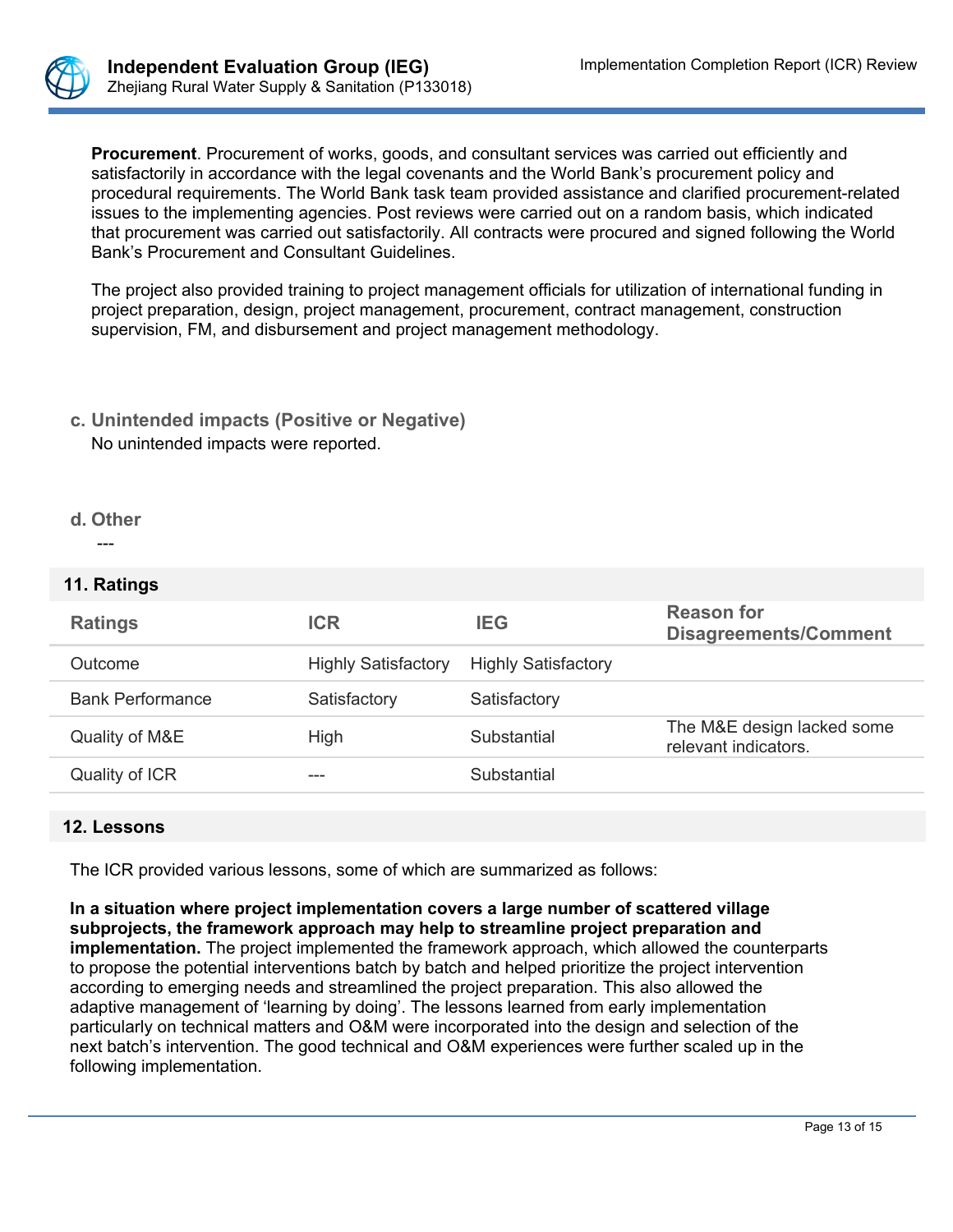

**Procurement**. Procurement of works, goods, and consultant services was carried out efficiently and satisfactorily in accordance with the legal covenants and the World Bank's procurement policy and procedural requirements. The World Bank task team provided assistance and clarified procurement-related issues to the implementing agencies. Post reviews were carried out on a random basis, which indicated that procurement was carried out satisfactorily. All contracts were procured and signed following the World Bank's Procurement and Consultant Guidelines.

The project also provided training to project management officials for utilization of international funding in project preparation, design, project management, procurement, contract management, construction supervision, FM, and disbursement and project management methodology.

# **c. Unintended impacts (Positive or Negative)** No unintended impacts were reported.

#### **d. Other**

---

## **11. Ratings**

| <b>Ratings</b>          | <b>ICR</b>                 | <b>IEG</b>                 | <b>Reason for</b><br><b>Disagreements/Comment</b>  |
|-------------------------|----------------------------|----------------------------|----------------------------------------------------|
| Outcome                 | <b>Highly Satisfactory</b> | <b>Highly Satisfactory</b> |                                                    |
| <b>Bank Performance</b> | Satisfactory               | Satisfactory               |                                                    |
| Quality of M&E          | High                       | Substantial                | The M&E design lacked some<br>relevant indicators. |
| Quality of ICR          | ---                        | Substantial                |                                                    |

# **12. Lessons**

The ICR provided various lessons, some of which are summarized as follows:

**In a situation where project implementation covers a large number of scattered village subprojects, the framework approach may help to streamline project preparation and implementation.** The project implemented the framework approach, which allowed the counterparts to propose the potential interventions batch by batch and helped prioritize the project intervention according to emerging needs and streamlined the project preparation. This also allowed the adaptive management of 'learning by doing'. The lessons learned from early implementation particularly on technical matters and O&M were incorporated into the design and selection of the next batch's intervention. The good technical and O&M experiences were further scaled up in the following implementation.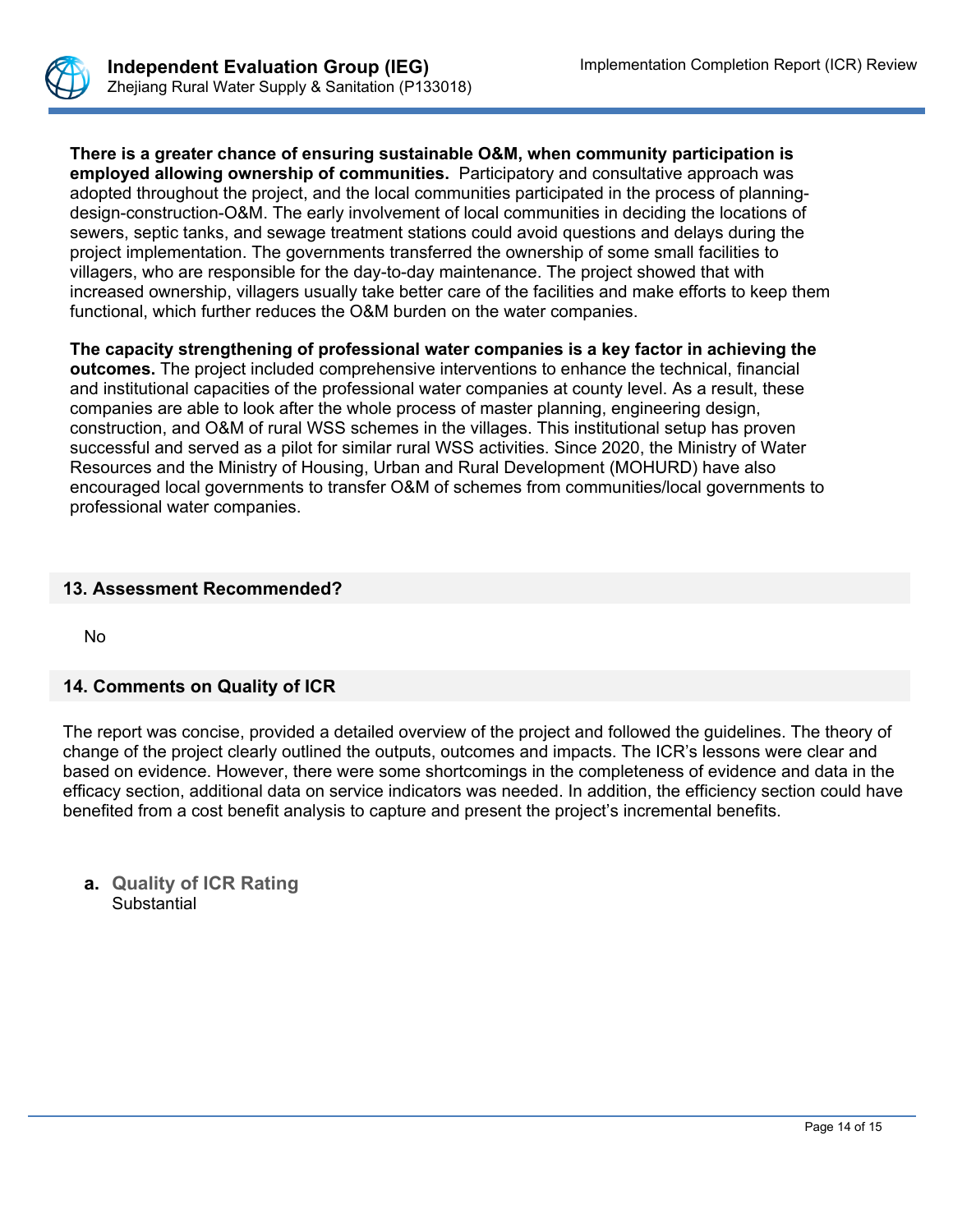

**There is a greater chance of ensuring sustainable O&M, when community participation is employed allowing ownership of communities.** Participatory and consultative approach was adopted throughout the project, and the local communities participated in the process of planningdesign-construction-O&M. The early involvement of local communities in deciding the locations of sewers, septic tanks, and sewage treatment stations could avoid questions and delays during the project implementation. The governments transferred the ownership of some small facilities to villagers, who are responsible for the day-to-day maintenance. The project showed that with increased ownership, villagers usually take better care of the facilities and make efforts to keep them functional, which further reduces the O&M burden on the water companies.

**The capacity strengthening of professional water companies is a key factor in achieving the outcomes.** The project included comprehensive interventions to enhance the technical, financial and institutional capacities of the professional water companies at county level. As a result, these companies are able to look after the whole process of master planning, engineering design, construction, and O&M of rural WSS schemes in the villages. This institutional setup has proven successful and served as a pilot for similar rural WSS activities. Since 2020, the Ministry of Water Resources and the Ministry of Housing, Urban and Rural Development (MOHURD) have also encouraged local governments to transfer O&M of schemes from communities/local governments to professional water companies.

## **13. Assessment Recommended?**

No

## **14. Comments on Quality of ICR**

The report was concise, provided a detailed overview of the project and followed the guidelines. The theory of change of the project clearly outlined the outputs, outcomes and impacts. The ICR's lessons were clear and based on evidence. However, there were some shortcomings in the completeness of evidence and data in the efficacy section, additional data on service indicators was needed. In addition, the efficiency section could have benefited from a cost benefit analysis to capture and present the project's incremental benefits.

**a. Quality of ICR Rating Substantial**